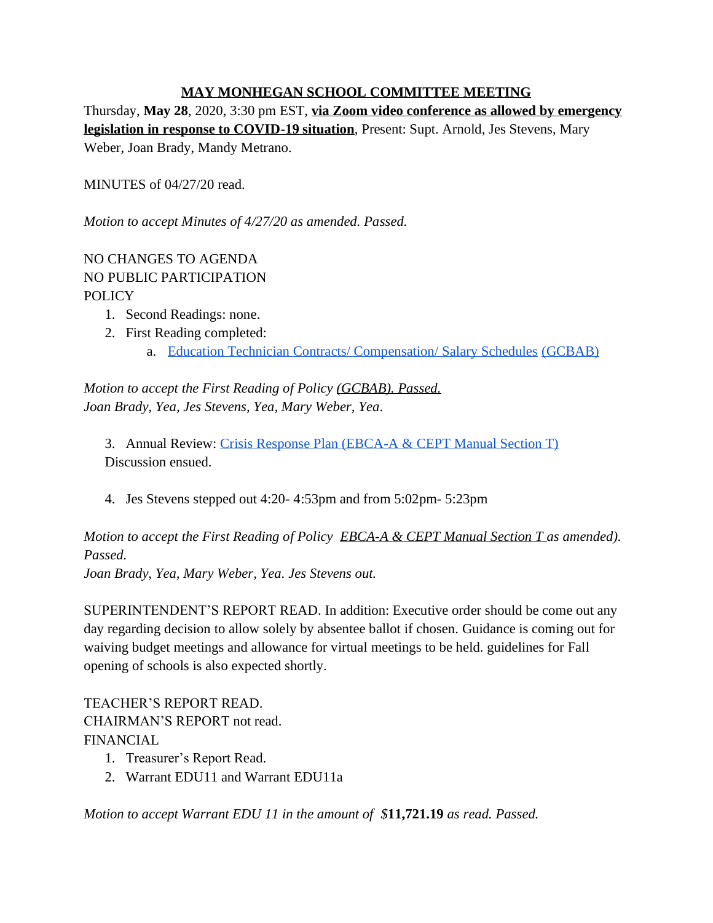## **MAY MONHEGAN SCHOOL COMMITTEE MEETING**

Thursday, **May 28**, 2020, 3:30 pm EST, **via Zoom video conference as allowed by emergency legislation in response to COVID-19 situation**, Present: Supt. Arnold, Jes Stevens, Mary Weber, Joan Brady, Mandy Metrano.

MINUTES of 04/27/20 read.

*Motion to accept Minutes of 4/27/20 as amended. Passed.*

# NO CHANGES TO AGENDA NO PUBLIC PARTICIPATION POLICY

- 1. Second Readings: none.
- 2. First Reading completed:
	- a. [Education Technician Contracts/ Compensation/ Salary Schedules](https://docs.google.com/document/d/1jTz2fshS0_NiennAYS5kVNz0gjVw_FnOBPtL3Liwooc/edit?usp=sharing) [\(GCBAB\)](https://docs.google.com/document/d/1jTz2fshS0_NiennAYS5kVNz0gjVw_FnOBPtL3Liwooc/edit?usp=sharing)

*Motion to accept the First Reading of Policy [\(GCBAB\).](https://docs.google.com/document/d/1jTz2fshS0_NiennAYS5kVNz0gjVw_FnOBPtL3Liwooc/edit?usp=sharing) Passed. Joan Brady, Yea, Jes Stevens, Yea, Mary Weber, Yea.*

3. Annual Review: [Crisis Response Plan \(EBCA-A & CEPT Manual Section T\)](https://docs.google.com/document/d/1kAyNM3vyOHdtUpOEhJSjax6KCaK1BTJD-3JdwemrQ28/edit?usp=sharing) Discussion ensued.

4. Jes Stevens stepped out 4:20- 4:53pm and from 5:02pm- 5:23pm

*Motion to accept the First Reading of Policy EBCA-A & CEPT Manual Section T as amended). Passed.*

*Joan Brady, Yea, Mary Weber, Yea. Jes Stevens out.*

SUPERINTENDENT'S REPORT READ. In addition: Executive order should be come out any day regarding decision to allow solely by absentee ballot if chosen. Guidance is coming out for waiving budget meetings and allowance for virtual meetings to be held. guidelines for Fall opening of schools is also expected shortly.

TEACHER'S REPORT READ. CHAIRMAN'S REPORT not read. FINANCIAL

- 1. Treasurer's Report Read.
- 2. Warrant EDU11 and Warrant EDU11a

*Motion to accept Warrant EDU 11 in the amount of \$***11,721.19** *as read. Passed.*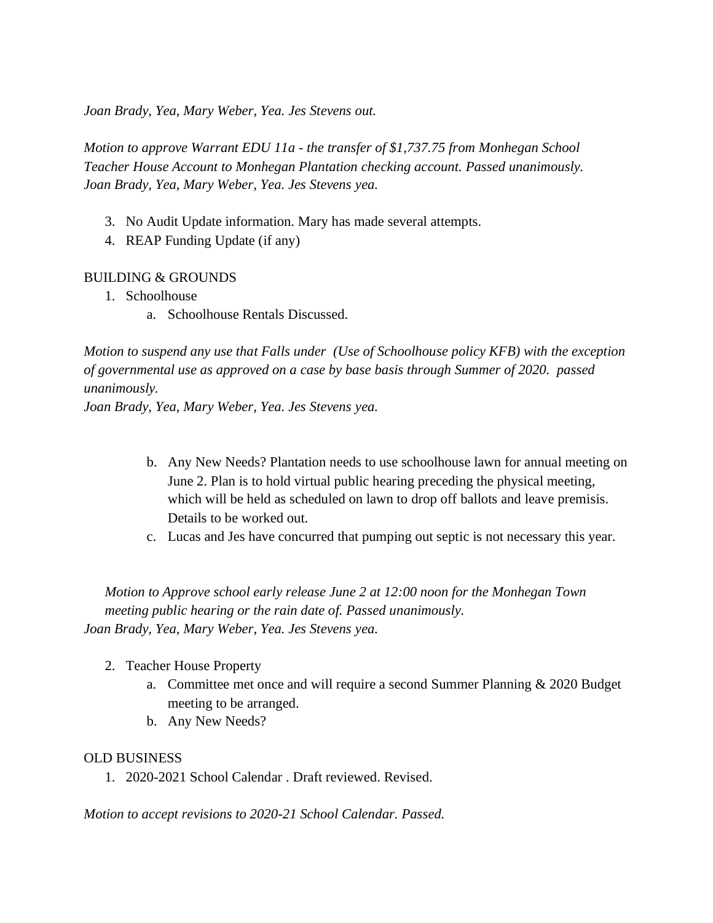*Joan Brady, Yea, Mary Weber, Yea. Jes Stevens out.*

*Motion to approve Warrant EDU 11a - the transfer of \$1,737.75 from Monhegan School Teacher House Account to Monhegan Plantation checking account. Passed unanimously. Joan Brady, Yea, Mary Weber, Yea. Jes Stevens yea.*

- 3. No Audit Update information. Mary has made several attempts.
- 4. REAP Funding Update (if any)

## BUILDING & GROUNDS

- 1. Schoolhouse
	- a. Schoolhouse Rentals Discussed.

*Motion to suspend any use that Falls under (Use of Schoolhouse policy KFB) with the exception of governmental use as approved on a case by base basis through Summer of 2020. passed unanimously.*

*Joan Brady, Yea, Mary Weber, Yea. Jes Stevens yea.*

- b. Any New Needs? Plantation needs to use schoolhouse lawn for annual meeting on June 2. Plan is to hold virtual public hearing preceding the physical meeting, which will be held as scheduled on lawn to drop off ballots and leave premisis. Details to be worked out.
- c. Lucas and Jes have concurred that pumping out septic is not necessary this year.

*Motion to Approve school early release June 2 at 12:00 noon for the Monhegan Town meeting public hearing or the rain date of. Passed unanimously. Joan Brady, Yea, Mary Weber, Yea. Jes Stevens yea.*

- 2. Teacher House Property
	- a. Committee met once and will require a second Summer Planning & 2020 Budget meeting to be arranged.
	- b. Any New Needs?

## OLD BUSINESS

1. 2020-2021 School Calendar . Draft reviewed. Revised.

*Motion to accept revisions to 2020-21 School Calendar. Passed.*